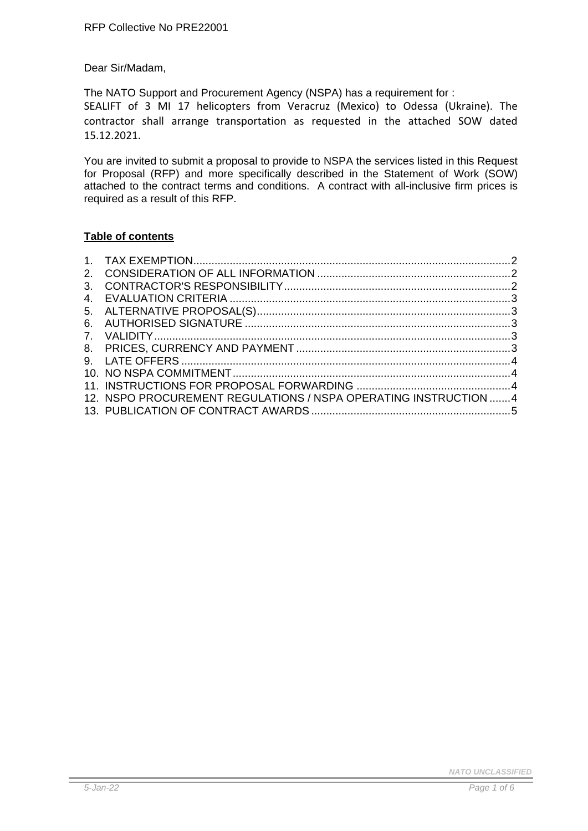Dear Sir/Madam,

The NATO Support and Procurement Agency (NSPA) has a requirement for :

SEALIFT of 3 MI 17 helicopters from Veracruz (Mexico) to Odessa (Ukraine). The contractor shall arrange transportation as requested in the attached SOW dated 15.12.2021.

You are invited to submit a proposal to provide to NSPA the services listed in this Request for Proposal (RFP) and more specifically described in the Statement of Work (SOW) attached to the contract terms and conditions. A contract with all-inclusive firm prices is required as a result of this RFP.

## **Table of contents**

| 12. NSPO PROCUREMENT REGULATIONS / NSPA OPERATING INSTRUCTION 4 |  |
|-----------------------------------------------------------------|--|
|                                                                 |  |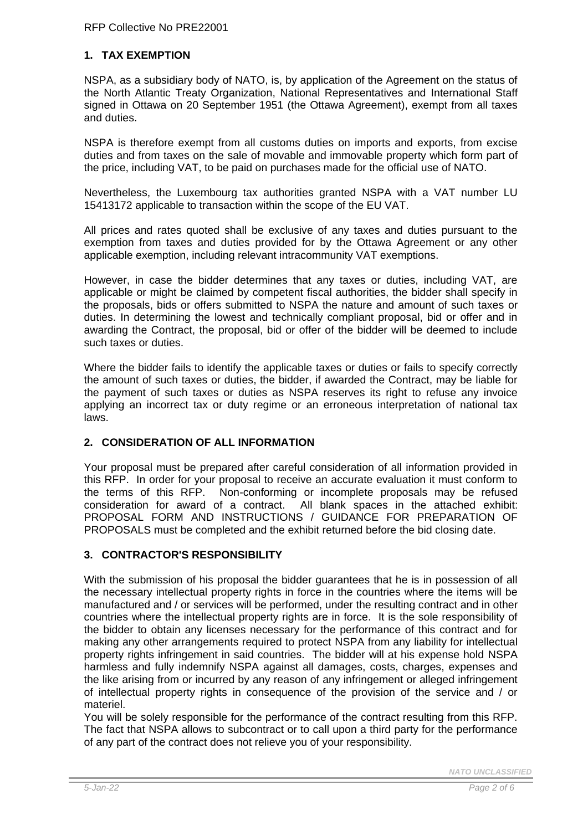## <span id="page-1-0"></span>**1. TAX EXEMPTION**

NSPA, as a subsidiary body of NATO, is, by application of the Agreement on the status of the North Atlantic Treaty Organization, National Representatives and International Staff signed in Ottawa on 20 September 1951 (the Ottawa Agreement), exempt from all taxes and duties.

NSPA is therefore exempt from all customs duties on imports and exports, from excise duties and from taxes on the sale of movable and immovable property which form part of the price, including VAT, to be paid on purchases made for the official use of NATO.

Nevertheless, the Luxembourg tax authorities granted NSPA with a VAT number LU 15413172 applicable to transaction within the scope of the EU VAT.

All prices and rates quoted shall be exclusive of any taxes and duties pursuant to the exemption from taxes and duties provided for by the Ottawa Agreement or any other applicable exemption, including relevant intracommunity VAT exemptions.

However, in case the bidder determines that any taxes or duties, including VAT, are applicable or might be claimed by competent fiscal authorities, the bidder shall specify in the proposals, bids or offers submitted to NSPA the nature and amount of such taxes or duties. In determining the lowest and technically compliant proposal, bid or offer and in awarding the Contract, the proposal, bid or offer of the bidder will be deemed to include such taxes or duties.

Where the bidder fails to identify the applicable taxes or duties or fails to specify correctly the amount of such taxes or duties, the bidder, if awarded the Contract, may be liable for the payment of such taxes or duties as NSPA reserves its right to refuse any invoice applying an incorrect tax or duty regime or an erroneous interpretation of national tax laws.

### <span id="page-1-1"></span>**2. CONSIDERATION OF ALL INFORMATION**

Your proposal must be prepared after careful consideration of all information provided in this RFP. In order for your proposal to receive an accurate evaluation it must conform to the terms of this RFP. Non-conforming or incomplete proposals may be refused consideration for award of a contract. All blank spaces in the attached exhibit: PROPOSAL FORM AND INSTRUCTIONS / GUIDANCE FOR PREPARATION OF PROPOSALS must be completed and the exhibit returned before the bid closing date.

## <span id="page-1-2"></span>**3. CONTRACTOR'S RESPONSIBILITY**

With the submission of his proposal the bidder guarantees that he is in possession of all the necessary intellectual property rights in force in the countries where the items will be manufactured and / or services will be performed, under the resulting contract and in other countries where the intellectual property rights are in force. It is the sole responsibility of the bidder to obtain any licenses necessary for the performance of this contract and for making any other arrangements required to protect NSPA from any liability for intellectual property rights infringement in said countries. The bidder will at his expense hold NSPA harmless and fully indemnify NSPA against all damages, costs, charges, expenses and the like arising from or incurred by any reason of any infringement or alleged infringement of intellectual property rights in consequence of the provision of the service and / or materiel.

You will be solely responsible for the performance of the contract resulting from this RFP. The fact that NSPA allows to subcontract or to call upon a third party for the performance of any part of the contract does not relieve you of your responsibility.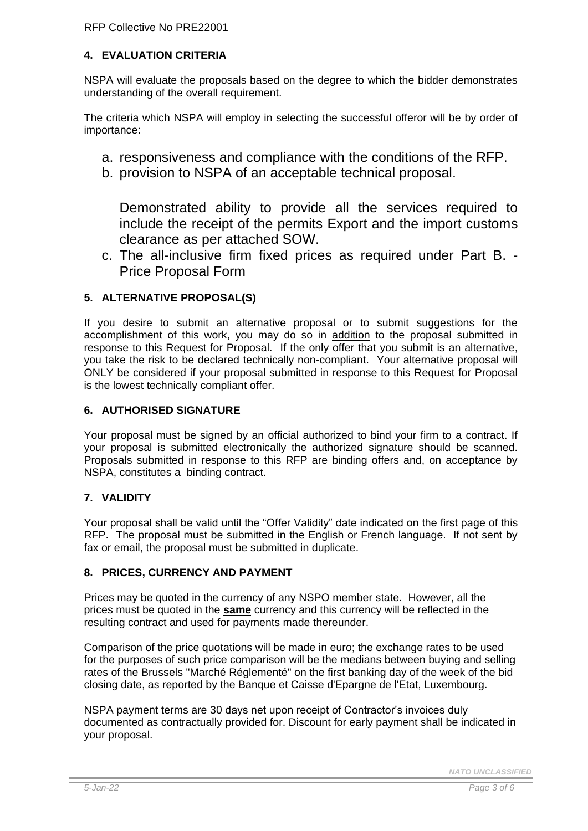# <span id="page-2-0"></span>**4. EVALUATION CRITERIA**

NSPA will evaluate the proposals based on the degree to which the bidder demonstrates understanding of the overall requirement.

The criteria which NSPA will employ in selecting the successful offeror will be by order of importance:

- a. responsiveness and compliance with the conditions of the RFP.
- b. provision to NSPA of an acceptable technical proposal.

Demonstrated ability to provide all the services required to include the receipt of the permits Export and the import customs clearance as per attached SOW.

c. The all-inclusive firm fixed prices as required under Part B. - Price Proposal Form

# <span id="page-2-1"></span>**5. ALTERNATIVE PROPOSAL(S)**

If you desire to submit an alternative proposal or to submit suggestions for the accomplishment of this work, you may do so in addition to the proposal submitted in response to this Request for Proposal. If the only offer that you submit is an alternative, you take the risk to be declared technically non-compliant. Your alternative proposal will ONLY be considered if your proposal submitted in response to this Request for Proposal is the lowest technically compliant offer.

# <span id="page-2-2"></span>**6. AUTHORISED SIGNATURE**

Your proposal must be signed by an official authorized to bind your firm to a contract. If your proposal is submitted electronically the authorized signature should be scanned. Proposals submitted in response to this RFP are binding offers and, on acceptance by NSPA, constitutes a binding contract.

# <span id="page-2-3"></span>**7. VALIDITY**

Your proposal shall be valid until the "Offer Validity" date indicated on the first page of this RFP. The proposal must be submitted in the English or French language. If not sent by fax or email, the proposal must be submitted in duplicate.

# <span id="page-2-4"></span>**8. PRICES, CURRENCY AND PAYMENT**

Prices may be quoted in the currency of any NSPO member state. However, all the prices must be quoted in the **same** currency and this currency will be reflected in the resulting contract and used for payments made thereunder.

Comparison of the price quotations will be made in euro; the exchange rates to be used for the purposes of such price comparison will be the medians between buying and selling rates of the Brussels "Marché Réglementé" on the first banking day of the week of the bid closing date, as reported by the Banque et Caisse d'Epargne de l'Etat, Luxembourg.

NSPA payment terms are 30 days net upon receipt of Contractor's invoices duly documented as contractually provided for. Discount for early payment shall be indicated in your proposal.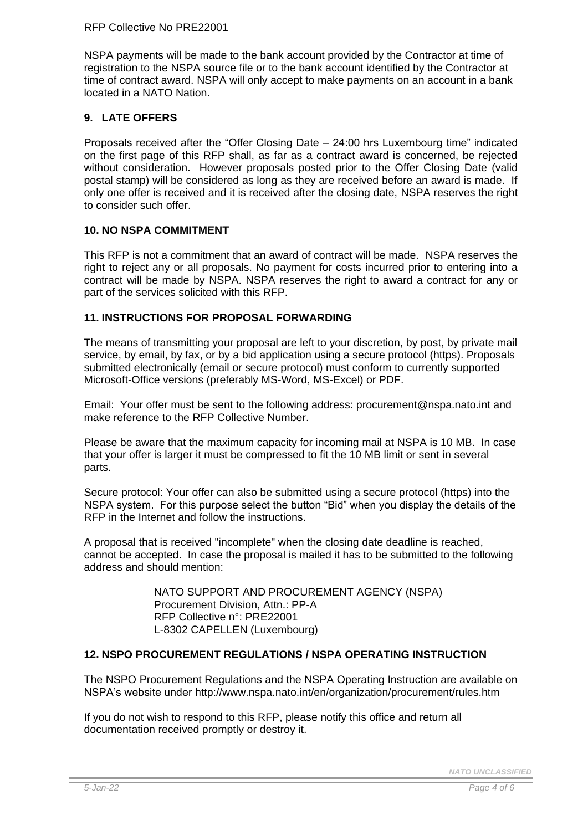#### RFP Collective No PRE22001

NSPA payments will be made to the bank account provided by the Contractor at time of registration to the NSPA source file or to the bank account identified by the Contractor at time of contract award. NSPA will only accept to make payments on an account in a bank located in a NATO Nation.

## <span id="page-3-0"></span>**9. LATE OFFERS**

Proposals received after the "Offer Closing Date – 24:00 hrs Luxembourg time" indicated on the first page of this RFP shall, as far as a contract award is concerned, be rejected without consideration. However proposals posted prior to the Offer Closing Date (valid postal stamp) will be considered as long as they are received before an award is made. If only one offer is received and it is received after the closing date, NSPA reserves the right to consider such offer.

### <span id="page-3-1"></span>**10. NO NSPA COMMITMENT**

This RFP is not a commitment that an award of contract will be made. NSPA reserves the right to reject any or all proposals. No payment for costs incurred prior to entering into a contract will be made by NSPA. NSPA reserves the right to award a contract for any or part of the services solicited with this RFP.

### <span id="page-3-2"></span>**11. INSTRUCTIONS FOR PROPOSAL FORWARDING**

The means of transmitting your proposal are left to your discretion, by post, by private mail service, by email, by fax, or by a bid application using a secure protocol (https). Proposals submitted electronically (email or secure protocol) must conform to currently supported Microsoft-Office versions (preferably MS-Word, MS-Excel) or PDF.

Email: Your offer must be sent to the following address: procurement@nspa.nato.int and make reference to the RFP Collective Number.

Please be aware that the maximum capacity for incoming mail at NSPA is 10 MB. In case that your offer is larger it must be compressed to fit the 10 MB limit or sent in several parts.

Secure protocol: Your offer can also be submitted using a secure protocol (https) into the NSPA system. For this purpose select the button "Bid" when you display the details of the RFP in the Internet and follow the instructions.

A proposal that is received "incomplete" when the closing date deadline is reached, cannot be accepted. In case the proposal is mailed it has to be submitted to the following address and should mention:

> NATO SUPPORT AND PROCUREMENT AGENCY (NSPA) Procurement Division, Attn.: PP-A RFP Collective n°: PRE22001 L-8302 CAPELLEN (Luxembourg)

### <span id="page-3-3"></span>**12. NSPO PROCUREMENT REGULATIONS / NSPA OPERATING INSTRUCTION**

The NSPO Procurement Regulations and the NSPA Operating Instruction are available on NSPA's website under<http://www.nspa.nato.int/en/organization/procurement/rules.htm>

If you do not wish to respond to this RFP, please notify this office and return all documentation received promptly or destroy it.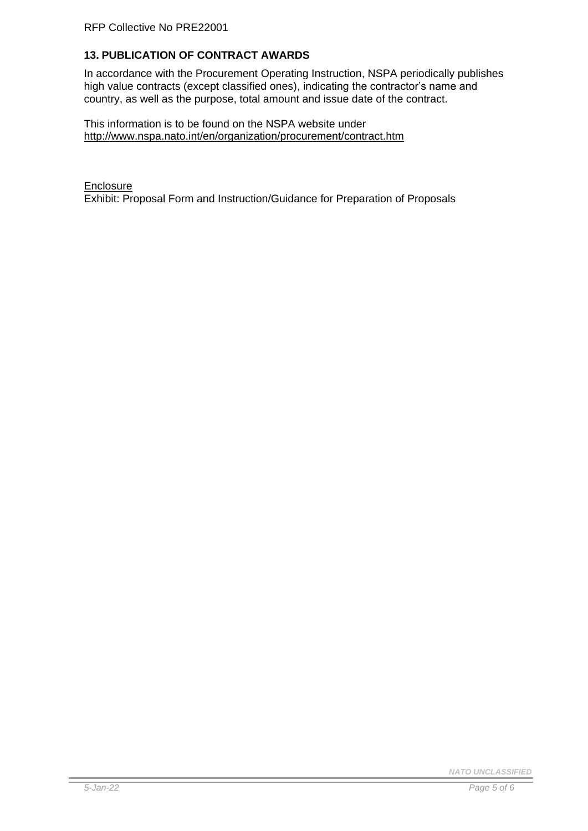# <span id="page-4-0"></span>**13. PUBLICATION OF CONTRACT AWARDS**

In accordance with the Procurement Operating Instruction, NSPA periodically publishes high value contracts (except classified ones), indicating the contractor's name and country, as well as the purpose, total amount and issue date of the contract.

This information is to be found on the NSPA website under <http://www.nspa.nato.int/en/organization/procurement/contract.htm>

**Enclosure** Exhibit: Proposal Form and Instruction/Guidance for Preparation of Proposals